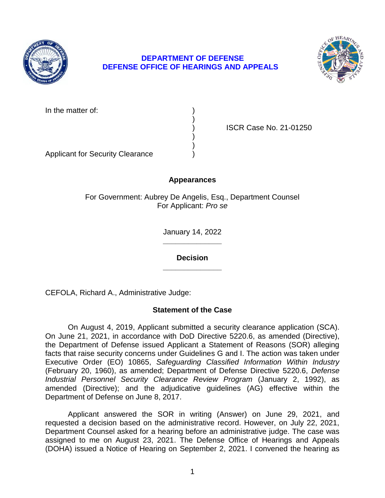

# **DEPARTMENT OF DEFENSE DEFENSE OFFICE OF HEARINGS AND APPEALS**



In the matter of:

) ISCR Case No. 21-01250

Applicant for Security Clearance )

# **Appearances**

)

) )

For Government: Aubrey De Angelis, Esq., Department Counsel For Applicant: *Pro se* 

> **\_\_\_\_\_\_\_\_\_\_\_\_\_\_**  January 14, 2022

**\_\_\_\_\_\_\_\_\_\_\_\_\_\_ Decision** 

CEFOLA, Richard A., Administrative Judge:

# **Statement of the Case**

 On August 4, 2019, Applicant submitted a security clearance application (SCA). On June 21, 2021, in accordance with DoD Directive 5220.6, as amended (Directive), the Department of Defense issued Applicant a Statement of Reasons (SOR) alleging facts that raise security concerns under Guidelines G and I. The action was taken under  Executive Order (EO) 10865, *Safeguarding Classified Information Within Industry*  (February 20, 1960), as amended; Department of Defense Directive 5220.6, *Defense Industrial Personnel Security Clearance Review Program* (January 2, 1992), as amended (Directive); and the adjudicative guidelines (AG) effective within the Department of Defense on June 8, 2017.

 Applicant answered the SOR in writing (Answer) on June 29, 2021, and requested a decision based on the administrative record. However, on July 22, 2021, Department Counsel asked for a hearing before an administrative judge. The case was assigned to me on August 23, 2021. The Defense Office of Hearings and Appeals (DOHA) issued a Notice of Hearing on September 2, 2021. I convened the hearing as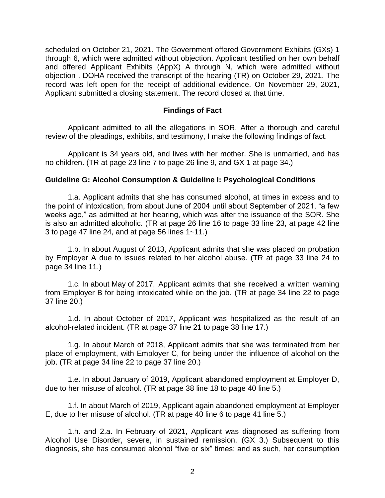scheduled on October 21, 2021. The Government offered Government Exhibits (GXs) 1 through 6, which were admitted without objection. Applicant testified on her own behalf and offered Applicant Exhibits (AppX) A through N, which were admitted without objection . DOHA received the transcript of the hearing (TR) on October 29, 2021. The record was left open for the receipt of additional evidence. On November 29, 2021, Applicant submitted a closing statement. The record closed at that time.

## **Findings of Fact**

 Applicant admitted to all the allegations in SOR. After a thorough and careful review of the pleadings, exhibits, and testimony, I make the following findings of fact.

 Applicant is 34 years old, and lives with her mother. She is unmarried, and has no children. (TR at page 23 line 7 to page 26 line 9, and GX 1 at page 34.)

#### **Guideline G: Alcohol Consumption & Guideline I: Psychological Conditions**

1.a. Applicant admits that she has consumed alcohol, at times in excess and to the point of intoxication, from about June of 2004 until about September of 2021, "a few weeks ago," as admitted at her hearing, which was after the issuance of the SOR. She is also an admitted alcoholic. (TR at page 26 line 16 to page 33 line 23, at page 42 line 3 to page 47 line 24, and at page 56 lines 1~11.)

1.b. In about August of 2013, Applicant admits that she was placed on probation by Employer A due to issues related to her alcohol abuse. (TR at page 33 line 24 to page 34 line 11.)

1.c. In about May of 2017, Applicant admits that she received a written warning from Employer B for being intoxicated while on the job. (TR at page 34 line 22 to page 37 line 20.)

1.d. In about October of 2017, Applicant was hospitalized as the result of an alcohol-related incident. (TR at page 37 line 21 to page 38 line 17.)

1.g. In about March of 2018, Applicant admits that she was terminated from her place of employment, with Employer C, for being under the influence of alcohol on the job. (TR at page 34 line 22 to page 37 line 20.)

1.e. In about January of 2019, Applicant abandoned employment at Employer D, due to her misuse of alcohol. (TR at page 38 line 18 to page 40 line 5.)

1.f. In about March of 2019, Applicant again abandoned employment at Employer E, due to her misuse of alcohol. (TR at page 40 line 6 to page 41 line 5.)

1.h. and 2.a. In February of 2021, Applicant was diagnosed as suffering from Alcohol Use Disorder, severe, in sustained remission. (GX 3.) Subsequent to this diagnosis, she has consumed alcohol "five or six" times; and as such, her consumption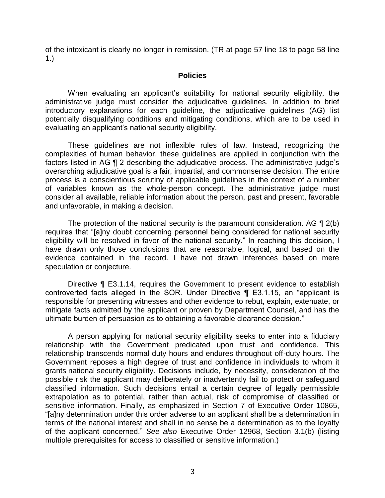of the intoxicant is clearly no longer in remission. (TR at page 57 line 18 to page 58 line 1.)

#### **Policies**

 When evaluating an applicant's suitability for national security eligibility, the administrative judge must consider the adjudicative guidelines. In addition to brief potentially disqualifying conditions and mitigating conditions, which are to be used in introductory explanations for each guideline, the adjudicative guidelines (AG) list evaluating an applicant's national security eligibility.

 These guidelines are not inflexible rules of law. Instead, recognizing the complexities of human behavior, these guidelines are applied in conjunction with the factors listed in AG ¶ 2 describing the adjudicative process. The administrative judge's overarching adjudicative goal is a fair, impartial, and commonsense decision. The entire process is a conscientious scrutiny of applicable guidelines in the context of a number of variables known as the whole-person concept. The administrative judge must consider all available, reliable information about the person, past and present, favorable and unfavorable, in making a decision.

The protection of the national security is the paramount consideration. AG  $\P$  2(b) eligibility will be resolved in favor of the national security." In reaching this decision, I have drawn only those conclusions that are reasonable, logical, and based on the evidence contained in the record. I have not drawn inferences based on mere requires that "[a]ny doubt concerning personnel being considered for national security speculation or conjecture.

Directive ¶ E3.1.14, requires the Government to present evidence to establish controverted facts alleged in the SOR. Under Directive ¶ E3.1.15, an "applicant is responsible for presenting witnesses and other evidence to rebut, explain, extenuate, or mitigate facts admitted by the applicant or proven by Department Counsel, and has the ultimate burden of persuasion as to obtaining a favorable clearance decision."

 A person applying for national security eligibility seeks to enter into a fiduciary relationship with the Government predicated upon trust and confidence. This relationship transcends normal duty hours and endures throughout off-duty hours. The Government reposes a high degree of trust and confidence in individuals to whom it grants national security eligibility. Decisions include, by necessity, consideration of the possible risk the applicant may deliberately or inadvertently fail to protect or safeguard classified information. Such decisions entail a certain degree of legally permissible extrapolation as to potential, rather than actual, risk of compromise of classified or sensitive information. Finally, as emphasized in Section 7 of Executive Order 10865, "[a]ny determination under this order adverse to an applicant shall be a determination in terms of the national interest and shall in no sense be a determination as to the loyalty of the applicant concerned." *See also* Executive Order 12968, Section 3.1(b) (listing multiple prerequisites for access to classified or sensitive information.)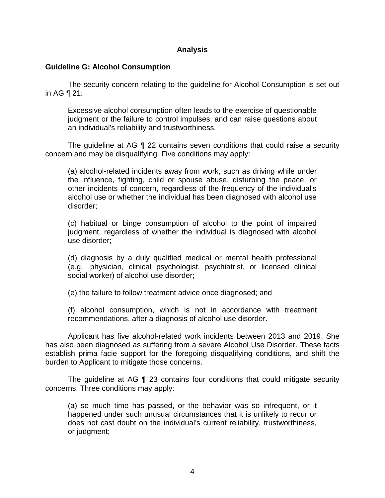## **Analysis**

#### **Guideline G: Alcohol Consumption**

 The security concern relating to the guideline for Alcohol Consumption is set out in AG ¶ 21:

Excessive alcohol consumption often leads to the exercise of questionable judgment or the failure to control impulses, and can raise questions about an individual's reliability and trustworthiness.

 The guideline at AG ¶ 22 contains seven conditions that could raise a security concern and may be disqualifying. Five conditions may apply:

(a) alcohol-related incidents away from work, such as driving while under the influence, fighting, child or spouse abuse, disturbing the peace, or other incidents of concern, regardless of the frequency of the individual's alcohol use or whether the individual has been diagnosed with alcohol use disorder;

(c) habitual or binge consumption of alcohol to the point of impaired judgment, regardless of whether the individual is diagnosed with alcohol use disorder;

(d) diagnosis by a duly qualified medical or mental health professional (e.g., physician, clinical psychologist, psychiatrist, or licensed clinical social worker) of alcohol use disorder;

(e) the failure to follow treatment advice once diagnosed; and

 (f) alcohol consumption, which is not in accordance with treatment recommendations, after a diagnosis of alcohol use disorder.

 Applicant has five alcohol-related work incidents between 2013 and 2019. She has also been diagnosed as suffering from a severe Alcohol Use Disorder. These facts establish prima facie support for the foregoing disqualifying conditions, and shift the burden to Applicant to mitigate those concerns.

 The guideline at AG ¶ 23 contains four conditions that could mitigate security concerns. Three conditions may apply:

 (a) so much time has passed, or the behavior was so infrequent, or it happened under such unusual circumstances that it is unlikely to recur or does not cast doubt on the individual's current reliability, trustworthiness, or judgment;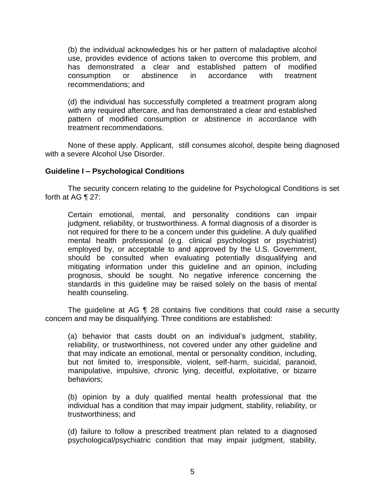(b) the individual acknowledges his or her pattern of maladaptive alcohol use, provides evidence of actions taken to overcome this problem, and has demonstrated a clear and established pattern of modified<br>consumption or abstinence in accordance with treatment consumption or abstinence in accordance with treatment recommendations; and

 (d) the individual has successfully completed a treatment program along with any required aftercare, and has demonstrated a clear and established pattern of modified consumption or abstinence in accordance with treatment recommendations.

 None of these apply. Applicant, still consumes alcohol, despite being diagnosed with a severe Alcohol Use Disorder.

## **Guideline I – Psychological Conditions**

 The security concern relating to the guideline for Psychological Conditions is set forth at AG ¶ 27:

 Certain emotional, mental, and personality conditions can impair judgment, reliability, or trustworthiness. A formal diagnosis of a disorder is not required for there to be a concern under this guideline. A duly qualified employed by, or acceptable to and approved by the U.S. Government, should be consulted when evaluating potentially disqualifying and mitigating information under this guideline and an opinion, including prognosis, should be sought. No negative inference concerning the standards in this guideline may be raised solely on the basis of mental mental health professional (e.g. clinical psychologist or psychiatrist) health counseling.

The guideline at AG 1 28 contains five conditions that could raise a security concern and may be disqualifying. Three conditions are established:

(a) behavior that casts doubt on an individual's judgment, stability, reliability, or trustworthiness, not covered under any other guideline and that may indicate an emotional, mental or personality condition, including, but not limited to, irresponsible, violent, self-harm, suicidal, paranoid, manipulative, impulsive, chronic lying, deceitful, exploitative, or bizarre behaviors;

(b) opinion by a duly qualified mental health professional that the individual has a condition that may impair judgment, stability, reliability, or trustworthiness; and

 (d) failure to follow a prescribed treatment plan related to a diagnosed psychological/psychiatric condition that may impair judgment, stability,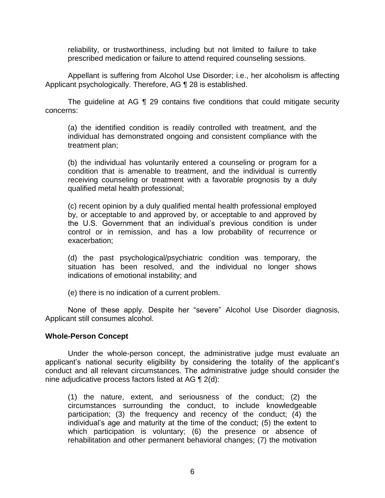reliability, or trustworthiness, including but not limited to failure to take prescribed medication or failure to attend required counseling sessions.

 Appellant is suffering from Alcohol Use Disorder; i.e., her alcoholism is affecting Applicant psychologically. Therefore, AG ¶ 28 is established.

 The guideline at AG ¶ 29 contains five conditions that could mitigate security concerns:

(a) the identified condition is readily controlled with treatment, and the individual has demonstrated ongoing and consistent compliance with the treatment plan;

(b) the individual has voluntarily entered a counseling or program for a condition that is amenable to treatment, and the individual is currently receiving counseling or treatment with a favorable prognosis by a duly qualified metal health professional;

(c) recent opinion by a duly qualified mental health professional employed by, or acceptable to and approved by, or acceptable to and approved by the U.S. Government that an individual's previous condition is under control or in remission, and has a low probability of recurrence or exacerbation;

(d) the past psychological/psychiatric condition was temporary, the situation has been resolved, and the individual no longer shows indications of emotional instability; and

(e) there is no indication of a current problem.

 None of these apply. Despite her "severe" Alcohol Use Disorder diagnosis, Applicant still consumes alcohol.

## **Whole-Person Concept**

Under the whole-person concept, the administrative judge must evaluate an applicant's national security eligibility by considering the totality of the applicant's conduct and all relevant circumstances. The administrative judge should consider the nine adjudicative process factors listed at AG ¶ 2(d):

 (1) the nature, extent, and seriousness of the conduct; (2) the circumstances surrounding the conduct, to include knowledgeable participation; (3) the frequency and recency of the conduct; (4) the individual's age and maturity at the time of the conduct; (5) the extent to which participation is voluntary; (6) the presence or absence of rehabilitation and other permanent behavioral changes; (7) the motivation